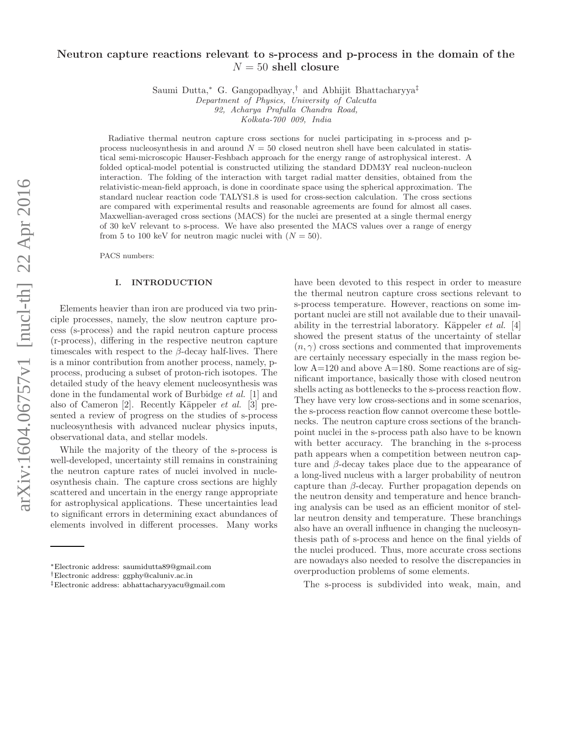# Neutron capture reactions relevant to s-process and p-process in the domain of the  $N = 50$  shell closure

Saumi Dutta,<sup>∗</sup> G. Gangopadhyay,† and Abhijit Bhattacharyya‡

Department of Physics, University of Calcutta

92, Acharya Prafulla Chandra Road, Kolkata-700 009, India

Radiative thermal neutron capture cross sections for nuclei participating in s-process and pprocess nucleosynthesis in and around  $N = 50$  closed neutron shell have been calculated in statistical semi-microscopic Hauser-Feshbach approach for the energy range of astrophysical interest. A folded optical-model potential is constructed utilizing the standard DDM3Y real nucleon-nucleon interaction. The folding of the interaction with target radial matter densities, obtained from the relativistic-mean-field approach, is done in coordinate space using the spherical approximation. The standard nuclear reaction code TALYS1.8 is used for cross-section calculation. The cross sections are compared with experimental results and reasonable agreements are found for almost all cases. Maxwellian-averaged cross sections (MACS) for the nuclei are presented at a single thermal energy of 30 keV relevant to s-process. We have also presented the MACS values over a range of energy from 5 to 100 keV for neutron magic nuclei with  $(N = 50)$ .

PACS numbers:

### I. INTRODUCTION

Elements heavier than iron are produced via two principle processes, namely, the slow neutron capture process (s-process) and the rapid neutron capture process (r-process), differing in the respective neutron capture timescales with respect to the  $\beta$ -decay half-lives. There is a minor contribution from another process, namely, pprocess, producing a subset of proton-rich isotopes. The detailed study of the heavy element nucleosynthesis was done in the fundamental work of Burbidge et al. [1] and also of Cameron  $[2]$ . Recently Käppeler *et al.*  $[3]$  presented a review of progress on the studies of s-process nucleosynthesis with advanced nuclear physics inputs, observational data, and stellar models.

While the majority of the theory of the s-process is well-developed, uncertainty still remains in constraining the neutron capture rates of nuclei involved in nucleosynthesis chain. The capture cross sections are highly scattered and uncertain in the energy range appropriate for astrophysical applications. These uncertainties lead to significant errors in determining exact abundances of elements involved in different processes. Many works

†Electronic address: ggphy@caluniv.ac.in

have been devoted to this respect in order to measure the thermal neutron capture cross sections relevant to s-process temperature. However, reactions on some important nuclei are still not available due to their unavailability in the terrestrial laboratory. Käppeler *et al.* [4] showed the present status of the uncertainty of stellar  $(n, \gamma)$  cross sections and commented that improvements are certainly necessary especially in the mass region below A=120 and above A=180. Some reactions are of significant importance, basically those with closed neutron shells acting as bottlenecks to the s-process reaction flow. They have very low cross-sections and in some scenarios, the s-process reaction flow cannot overcome these bottlenecks. The neutron capture cross sections of the branchpoint nuclei in the s-process path also have to be known with better accuracy. The branching in the s-process path appears when a competition between neutron capture and β-decay takes place due to the appearance of a long-lived nucleus with a larger probability of neutron capture than β-decay. Further propagation depends on the neutron density and temperature and hence branching analysis can be used as an efficient monitor of stellar neutron density and temperature. These branchings also have an overall influence in changing the nucleosynthesis path of s-process and hence on the final yields of the nuclei produced. Thus, more accurate cross sections are nowadays also needed to resolve the discrepancies in overproduction problems of some elements.

The s-process is subdivided into weak, main, and

<sup>∗</sup>Electronic address: saumidutta89@gmail.com

<sup>‡</sup>Electronic address: abhattacharyyacu@gmail.com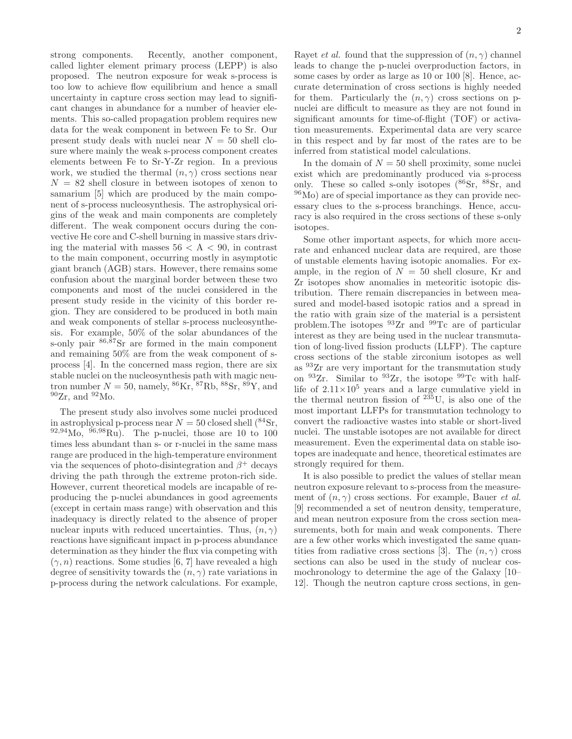strong components. Recently, another component, called lighter element primary process (LEPP) is also proposed. The neutron exposure for weak s-process is too low to achieve flow equilibrium and hence a small uncertainty in capture cross section may lead to significant changes in abundance for a number of heavier elements. This so-called propagation problem requires new data for the weak component in between Fe to Sr. Our present study deals with nuclei near  $N = 50$  shell closure where mainly the weak s-process component creates elements between Fe to Sr-Y-Zr region. In a previous work, we studied the thermal  $(n, \gamma)$  cross sections near  $N = 82$  shell closure in between isotopes of xenon to samarium [5] which are produced by the main component of s-process nucleosynthesis. The astrophysical origins of the weak and main components are completely different. The weak component occurs during the convective He core and C-shell burning in massive stars driving the material with masses  $56 < A < 90$ , in contrast to the main component, occurring mostly in asymptotic giant branch (AGB) stars. However, there remains some confusion about the marginal border between these two components and most of the nuclei considered in the present study reside in the vicinity of this border region. They are considered to be produced in both main and weak components of stellar s-process nucleosynthesis. For example, 50% of the solar abundances of the s-only pair  $86,87$ Sr are formed in the main component and remaining 50% are from the weak component of sprocess [4]. In the concerned mass region, there are six stable nuclei on the nucleosynthesis path with magic neutron number  $N = 50$ , namely,  ${}^{86}$ Kr,  ${}^{87}$ Rb,  ${}^{88}$ Sr,  ${}^{89}$ Y, and  $^{90}Zr$ , and  $^{92}Mo$ .

The present study also involves some nuclei produced in astrophysical p-process near  $N = 50$  closed shell  $(^{84}Sr, )$  $92,94 \text{Mo}, 96,98 \text{Ru}.$  The p-nuclei, those are 10 to 100 times less abundant than s- or r-nuclei in the same mass range are produced in the high-temperature environment via the sequences of photo-disintegration and  $\beta^+$  decays driving the path through the extreme proton-rich side. However, current theoretical models are incapable of reproducing the p-nuclei abundances in good agreements (except in certain mass range) with observation and this inadequacy is directly related to the absence of proper nuclear inputs with reduced uncertainties. Thus,  $(n, \gamma)$ reactions have significant impact in p-process abundance determination as they hinder the flux via competing with  $(\gamma, n)$  reactions. Some studies [6, 7] have revealed a high degree of sensitivity towards the  $(n, \gamma)$  rate variations in p-process during the network calculations. For example, Rayet *et al.* found that the suppression of  $(n, \gamma)$  channel leads to change the p-nuclei overproduction factors, in some cases by order as large as 10 or 100 [8]. Hence, accurate determination of cross sections is highly needed for them. Particularly the  $(n, \gamma)$  cross sections on pnuclei are difficult to measure as they are not found in significant amounts for time-of-flight (TOF) or activation measurements. Experimental data are very scarce in this respect and by far most of the rates are to be inferred from statistical model calculations.

In the domain of  $N = 50$  shell proximity, some nuclei exist which are predominantly produced via s-process only. These so called s-only isotopes  $(^{86}Sr,~^{88}Sr,$  and <sup>96</sup>Mo) are of special importance as they can provide necessary clues to the s-process branchings. Hence, accuracy is also required in the cross sections of these s-only isotopes.

Some other important aspects, for which more accurate and enhanced nuclear data are required, are those of unstable elements having isotopic anomalies. For example, in the region of  $N = 50$  shell closure, Kr and Zr isotopes show anomalies in meteoritic isotopic distribution. There remain discrepancies in between measured and model-based isotopic ratios and a spread in the ratio with grain size of the material is a persistent problem.The isotopes <sup>93</sup>Zr and <sup>99</sup>Tc are of particular interest as they are being used in the nuclear transmutation of long-lived fission products (LLFP). The capture cross sections of the stable zirconium isotopes as well as <sup>93</sup>Zr are very important for the transmutation study on <sup>93</sup>Zr. Similar to <sup>93</sup>Zr, the isotope <sup>99</sup>Tc with halflife of  $2.11\times10^5$  years and a large cumulative yield in the thermal neutron fission of  $235U$ , is also one of the most important LLFPs for transmutation technology to convert the radioactive wastes into stable or short-lived nuclei. The unstable isotopes are not available for direct measurement. Even the experimental data on stable isotopes are inadequate and hence, theoretical estimates are strongly required for them.

It is also possible to predict the values of stellar mean neutron exposure relevant to s-process from the measurement of  $(n, \gamma)$  cross sections. For example, Bauer *et al.* [9] recommended a set of neutron density, temperature, and mean neutron exposure from the cross section measurements, both for main and weak components. There are a few other works which investigated the same quantities from radiative cross sections [3]. The  $(n, \gamma)$  cross sections can also be used in the study of nuclear cosmochronology to determine the age of the Galaxy [10– 12]. Though the neutron capture cross sections, in gen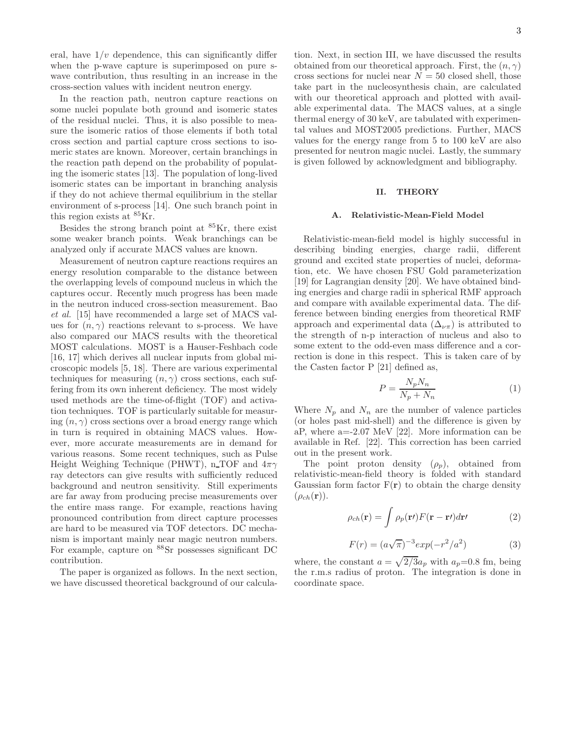eral, have  $1/v$  dependence, this can significantly differ when the p-wave capture is superimposed on pure swave contribution, thus resulting in an increase in the cross-section values with incident neutron energy.

In the reaction path, neutron capture reactions on some nuclei populate both ground and isomeric states of the residual nuclei. Thus, it is also possible to measure the isomeric ratios of those elements if both total cross section and partial capture cross sections to isomeric states are known. Moreover, certain branchings in the reaction path depend on the probability of populating the isomeric states [13]. The population of long-lived isomeric states can be important in branching analysis if they do not achieve thermal equilibrium in the stellar environment of s-process [14]. One such branch point in this region exists at <sup>85</sup>Kr.

Besides the strong branch point at <sup>85</sup>Kr, there exist some weaker branch points. Weak branchings can be analyzed only if accurate MACS values are known.

Measurement of neutron capture reactions requires an energy resolution comparable to the distance between the overlapping levels of compound nucleus in which the captures occur. Recently much progress has been made in the neutron induced cross-section measurement. Bao et al. [15] have recommended a large set of MACS values for  $(n, \gamma)$  reactions relevant to s-process. We have also compared our MACS results with the theoretical MOST calculations. MOST is a Hauser-Feshbach code [16, 17] which derives all nuclear inputs from global microscopic models [5, 18]. There are various experimental techniques for measuring  $(n, \gamma)$  cross sections, each suffering from its own inherent deficiency. The most widely used methods are the time-of-flight (TOF) and activation techniques. TOF is particularly suitable for measuring  $(n, \gamma)$  cross sections over a broad energy range which in turn is required in obtaining MACS values. However, more accurate measurements are in demand for various reasons. Some recent techniques, such as Pulse Height Weighing Technique (PHWT), n TOF and  $4\pi\gamma$ ray detectors can give results with sufficiently reduced background and neutron sensitivity. Still experiments are far away from producing precise measurements over the entire mass range. For example, reactions having pronounced contribution from direct capture processes are hard to be measured via TOF detectors. DC mechanism is important mainly near magic neutron numbers. For example, capture on <sup>88</sup>Sr possesses significant DC contribution.

The paper is organized as follows. In the next section, we have discussed theoretical background of our calculation. Next, in section III, we have discussed the results obtained from our theoretical approach. First, the  $(n, \gamma)$ cross sections for nuclei near  $N = 50$  closed shell, those take part in the nucleosynthesis chain, are calculated with our theoretical approach and plotted with available experimental data. The MACS values, at a single thermal energy of 30 keV, are tabulated with experimental values and MOST2005 predictions. Further, MACS values for the energy range from 5 to 100 keV are also presented for neutron magic nuclei. Lastly, the summary is given followed by acknowledgment and bibliography.

### II. THEORY

#### A. Relativistic-Mean-Field Model

Relativistic-mean-field model is highly successful in describing binding energies, charge radii, different ground and excited state properties of nuclei, deformation, etc. We have chosen FSU Gold parameterization [19] for Lagrangian density [20]. We have obtained binding energies and charge radii in spherical RMF approach and compare with available experimental data. The difference between binding energies from theoretical RMF approach and experimental data  $(\Delta_{\nu\pi})$  is attributed to the strength of n-p interaction of nucleus and also to some extent to the odd-even mass difference and a correction is done in this respect. This is taken care of by the Casten factor P [21] defined as,

$$
P = \frac{N_p N_n}{N_p + N_n} \tag{1}
$$

Where  $N_p$  and  $N_n$  are the number of valence particles (or holes past mid-shell) and the difference is given by aP, where a=-2.07 MeV [22]. More information can be available in Ref. [22]. This correction has been carried out in the present work.

The point proton density  $(\rho_p)$ , obtained from relativistic-mean-field theory is folded with standard Gaussian form factor  $F(r)$  to obtain the charge density  $(\rho_{ch}(\mathbf{r})).$ 

$$
\rho_{ch}(\mathbf{r}) = \int \rho_p(\mathbf{r}) F(\mathbf{r} - \mathbf{r}) d\mathbf{r'}
$$
 (2)

$$
F(r) = (a\sqrt{\pi})^{-3} exp(-r^2/a^2)
$$
 (3)

where, the constant  $a = \sqrt{2/3}a_p$  with  $a_p=0.8$  fm, being the r.m.s radius of proton. The integration is done in coordinate space.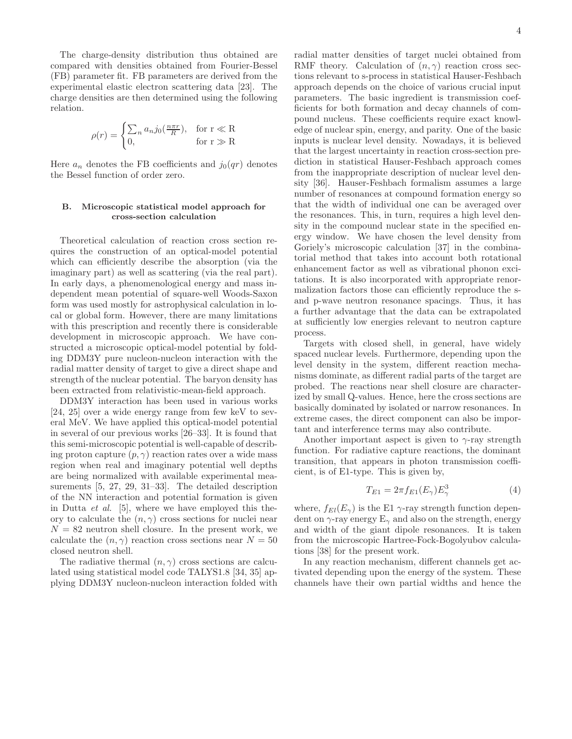The charge-density distribution thus obtained are compared with densities obtained from Fourier-Bessel (FB) parameter fit. FB parameters are derived from the experimental elastic electron scattering data [23]. The charge densities are then determined using the following relation.

$$
\rho(r) = \begin{cases} \sum_n a_n j_0(\frac{n\pi r}{R}), & \text{for } r \ll R\\ 0, & \text{for } r \gg R \end{cases}
$$

Here  $a_n$  denotes the FB coefficients and  $j_0(qr)$  denotes the Bessel function of order zero.

## B. Microscopic statistical model approach for cross-section calculation

Theoretical calculation of reaction cross section requires the construction of an optical-model potential which can efficiently describe the absorption (via the imaginary part) as well as scattering (via the real part). In early days, a phenomenological energy and mass independent mean potential of square-well Woods-Saxon form was used mostly for astrophysical calculation in local or global form. However, there are many limitations with this prescription and recently there is considerable development in microscopic approach. We have constructed a microscopic optical-model potential by folding DDM3Y pure nucleon-nucleon interaction with the radial matter density of target to give a direct shape and strength of the nuclear potential. The baryon density has been extracted from relativistic-mean-field approach.

DDM3Y interaction has been used in various works [24, 25] over a wide energy range from few keV to several MeV. We have applied this optical-model potential in several of our previous works [26–33]. It is found that this semi-microscopic potential is well-capable of describing proton capture  $(p, \gamma)$  reaction rates over a wide mass region when real and imaginary potential well depths are being normalized with available experimental measurements [5, 27, 29, 31–33]. The detailed description of the NN interaction and potential formation is given in Dutta  $et \ al.$  [5], where we have employed this theory to calculate the  $(n, \gamma)$  cross sections for nuclei near  $N = 82$  neutron shell closure. In the present work, we calculate the  $(n, \gamma)$  reaction cross sections near  $N = 50$ closed neutron shell.

The radiative thermal  $(n, \gamma)$  cross sections are calculated using statistical model code TALYS1.8 [34, 35] applying DDM3Y nucleon-nucleon interaction folded with

radial matter densities of target nuclei obtained from RMF theory. Calculation of  $(n, \gamma)$  reaction cross sections relevant to s-process in statistical Hauser-Feshbach approach depends on the choice of various crucial input parameters. The basic ingredient is transmission coefficients for both formation and decay channels of compound nucleus. These coefficients require exact knowledge of nuclear spin, energy, and parity. One of the basic inputs is nuclear level density. Nowadays, it is believed that the largest uncertainty in reaction cross-section prediction in statistical Hauser-Feshbach approach comes from the inappropriate description of nuclear level density [36]. Hauser-Feshbach formalism assumes a large number of resonances at compound formation energy so that the width of individual one can be averaged over the resonances. This, in turn, requires a high level density in the compound nuclear state in the specified energy window. We have chosen the level density from Goriely's microscopic calculation [37] in the combinatorial method that takes into account both rotational enhancement factor as well as vibrational phonon excitations. It is also incorporated with appropriate renormalization factors those can efficiently reproduce the sand p-wave neutron resonance spacings. Thus, it has a further advantage that the data can be extrapolated at sufficiently low energies relevant to neutron capture process.

Targets with closed shell, in general, have widely spaced nuclear levels. Furthermore, depending upon the level density in the system, different reaction mechanisms dominate, as different radial parts of the target are probed. The reactions near shell closure are characterized by small Q-values. Hence, here the cross sections are basically dominated by isolated or narrow resonances. In extreme cases, the direct component can also be important and interference terms may also contribute.

Another important aspect is given to  $\gamma$ -ray strength function. For radiative capture reactions, the dominant transition, that appears in photon transmission coefficient, is of E1-type. This is given by,

$$
T_{E1} = 2\pi f_{E1}(E_\gamma) E_\gamma^3 \tag{4}
$$

where,  $f_{El}(E_\gamma)$  is the E1  $\gamma$ -ray strength function dependent on  $\gamma$ -ray energy  $E_{\gamma}$  and also on the strength, energy and width of the giant dipole resonances. It is taken from the microscopic Hartree-Fock-Bogolyubov calculations [38] for the present work.

In any reaction mechanism, different channels get activated depending upon the energy of the system. These channels have their own partial widths and hence the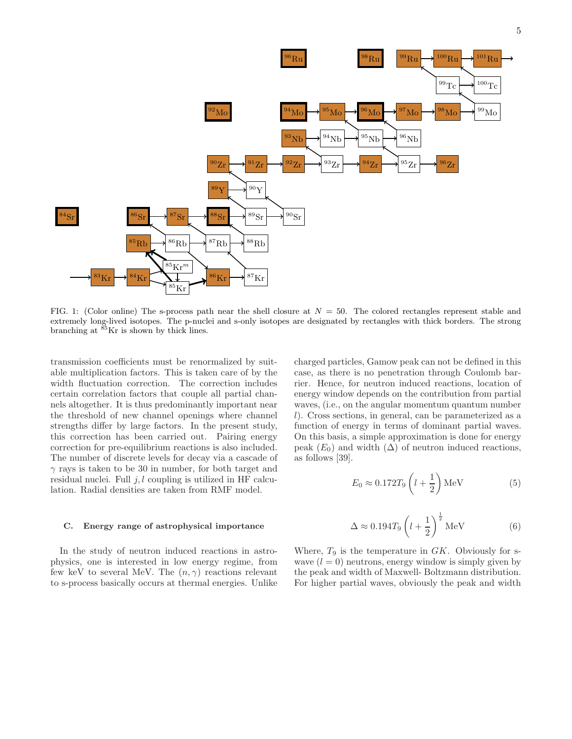

FIG. 1: (Color online) The s-process path near the shell closure at  $N = 50$ . The colored rectangles represent stable and extremely long-lived isotopes. The p-nuclei and s-only isotopes are designated by rectangles with thick borders. The strong branching at <sup>85</sup>Kr is shown by thick lines.

transmission coefficients must be renormalized by suitable multiplication factors. This is taken care of by the width fluctuation correction. The correction includes certain correlation factors that couple all partial channels altogether. It is thus predominantly important near the threshold of new channel openings where channel strengths differ by large factors. In the present study, this correction has been carried out. Pairing energy correction for pre-equilibrium reactions is also included. The number of discrete levels for decay via a cascade of  $\gamma$  rays is taken to be 30 in number, for both target and residual nuclei. Full  $j, l$  coupling is utilized in HF calculation. Radial densities are taken from RMF model.

#### C. Energy range of astrophysical importance

In the study of neutron induced reactions in astrophysics, one is interested in low energy regime, from few keV to several MeV. The  $(n, \gamma)$  reactions relevant to s-process basically occurs at thermal energies. Unlike charged particles, Gamow peak can not be defined in this case, as there is no penetration through Coulomb barrier. Hence, for neutron induced reactions, location of energy window depends on the contribution from partial waves, (i.e., on the angular momentum quantum number l). Cross sections, in general, can be parameterized as a function of energy in terms of dominant partial waves. On this basis, a simple approximation is done for energy peak  $(E_0)$  and width  $(\Delta)$  of neutron induced reactions, as follows [39].

$$
E_0 \approx 0.172 T_9 \left( l + \frac{1}{2} \right) \text{MeV} \tag{5}
$$

$$
\Delta \approx 0.194 T_9 \left( l + \frac{1}{2} \right)^{\frac{1}{2}} \text{MeV} \tag{6}
$$

Where,  $T_9$  is the temperature in  $GK$ . Obviously for swave  $(l = 0)$  neutrons, energy window is simply given by the peak and width of Maxwell- Boltzmann distribution. For higher partial waves, obviously the peak and width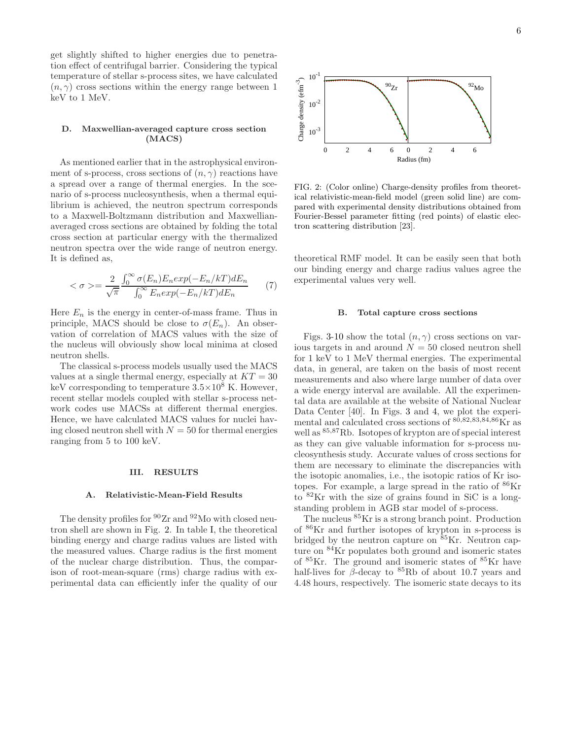get slightly shifted to higher energies due to penetration effect of centrifugal barrier. Considering the typical temperature of stellar s-process sites, we have calculated  $(n, \gamma)$  cross sections within the energy range between 1 keV to 1 MeV.

### D. Maxwellian-averaged capture cross section (MACS)

As mentioned earlier that in the astrophysical environment of s-process, cross sections of  $(n, \gamma)$  reactions have a spread over a range of thermal energies. In the scenario of s-process nucleosynthesis, when a thermal equilibrium is achieved, the neutron spectrum corresponds to a Maxwell-Boltzmann distribution and Maxwellianaveraged cross sections are obtained by folding the total cross section at particular energy with the thermalized neutron spectra over the wide range of neutron energy. It is defined as,

$$
\langle \sigma \rangle = \frac{2}{\sqrt{\pi}} \frac{\int_0^\infty \sigma(E_n) E_n \exp(-E_n/kT) dE_n}{\int_0^\infty E_n \exp(-E_n/kT) dE_n} \tag{7}
$$

Here  $E_n$  is the energy in center-of-mass frame. Thus in principle, MACS should be close to  $\sigma(E_n)$ . An observation of correlation of MACS values with the size of the nucleus will obviously show local minima at closed neutron shells.

The classical s-process models usually used the MACS values at a single thermal energy, especially at  $KT = 30$ keV corresponding to temperature  $3.5 \times 10^8$  K. However, recent stellar models coupled with stellar s-process network codes use MACSs at different thermal energies. Hence, we have calculated MACS values for nuclei having closed neutron shell with  $N = 50$  for thermal energies ranging from 5 to 100 keV.

#### III. RESULTS

#### A. Relativistic-Mean-Field Results

The density profiles for  $90Zr$  and  $92M$ o with closed neutron shell are shown in Fig. 2. In table I, the theoretical binding energy and charge radius values are listed with the measured values. Charge radius is the first moment of the nuclear charge distribution. Thus, the comparison of root-mean-square (rms) charge radius with experimental data can efficiently infer the quality of our



FIG. 2: (Color online) Charge-density profiles from theoretical relativistic-mean-field model (green solid line) are compared with experimental density distributions obtained from Fourier-Bessel parameter fitting (red points) of elastic electron scattering distribution [23].

theoretical RMF model. It can be easily seen that both our binding energy and charge radius values agree the experimental values very well.

## B. Total capture cross sections

Figs. 3-10 show the total  $(n, \gamma)$  cross sections on various targets in and around  $N = 50$  closed neutron shell for 1 keV to 1 MeV thermal energies. The experimental data, in general, are taken on the basis of most recent measurements and also where large number of data over a wide energy interval are available. All the experimental data are available at the website of National Nuclear Data Center [40]. In Figs. 3 and 4, we plot the experimental and calculated cross sections of <sup>80</sup>,82,83,84,<sup>86</sup>Kr as well as <sup>85</sup>,<sup>87</sup>Rb. Isotopes of krypton are of special interest as they can give valuable information for s-process nucleosynthesis study. Accurate values of cross sections for them are necessary to eliminate the discrepancies with the isotopic anomalies, i.e., the isotopic ratios of Kr isotopes. For example, a large spread in the ratio of  ${}^{86}\text{Kr}$ to <sup>82</sup>Kr with the size of grains found in SiC is a longstanding problem in AGB star model of s-process.

The nucleus <sup>85</sup>Kr is a strong branch point. Production of <sup>86</sup>Kr and further isotopes of krypton in s-process is bridged by the neutron capture on  ${}^{85}$ Kr. Neutron capture on  $84$ Kr populates both ground and isomeric states of  $85$ Kr. The ground and isomeric states of  $85$ Kr have half-lives for  $\beta$ -decay to <sup>85</sup>Rb of about 10.7 years and 4.48 hours, respectively. The isomeric state decays to its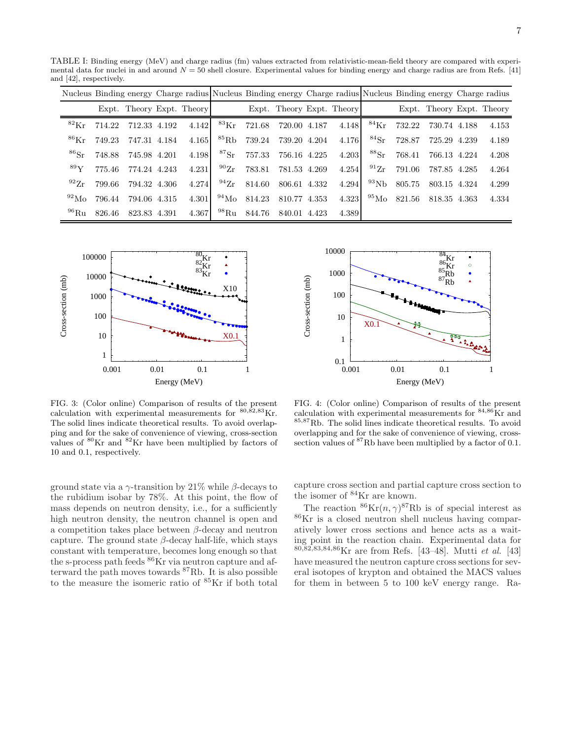TABLE I: Binding energy (MeV) and charge radius (fm) values extracted from relativistic-mean-field theory are compared with experimental data for nuclei in and around  $N = 50$  shell closure. Experimental values for binding energy and charge radius are from Refs. [41] and [42], respectively.

|                      |        |                           |       | Nucleus Binding energy Charge radius Nucleus Binding energy Charge radius Nucleus Binding energy Charge radius |                           |              |                           |                      |                   |              |                           |
|----------------------|--------|---------------------------|-------|----------------------------------------------------------------------------------------------------------------|---------------------------|--------------|---------------------------|----------------------|-------------------|--------------|---------------------------|
|                      |        | Expt. Theory Expt. Theory |       |                                                                                                                |                           |              | Expt. Theory Expt. Theory |                      |                   |              | Expt. Theory Expt. Theory |
| ${}^{82}\mathrm{Kr}$ | 714.22 | 712.33 4.192              | 4.142 |                                                                                                                | ${}^{83}\text{Kr}$ 721.68 | 720.00 4.187 | 4.148                     | $^{84}\mathrm{Kr}$   | 732.22            | 730.74 4.188 | 4.153                     |
| ${}^{86}\mathrm{Kr}$ | 749.23 | 747.31 4.184              | 4.165 | ${}^{85}\mathrm{Rb}$                                                                                           | 739.24                    | 739.20 4.204 | 4.176                     | ${}^{84}\mathrm{Sr}$ | 728.87            | 725.29 4.239 | 4.189                     |
| ${}^{86}\mathrm{Sr}$ | 748.88 | 745.98 4.201              | 4.198 | ${}^{87}\mathrm{Sr}$                                                                                           | 757.33                    | 756.16 4.225 | 4.203                     | ${}^{88}\mathrm{Sr}$ | 768.41            | 766.13 4.224 | 4.208                     |
| $^{89}Y$             | 775.46 | 774.24 4.243              | 4.231 | $^{90}Zr$                                                                                                      | 783.81                    | 781.53 4.269 | 4.254                     | $^{91}Zr$            | 791.06            | 787.85 4.285 | 4.264                     |
| $^{92}Zr$            | 799.66 | 794.32 4.306              | 4.274 | $^{94}\mathrm{Zr}$                                                                                             | 814.60                    | 806.61 4.332 | 4.294                     | $^{93}\mathrm{Nb}$   | 805.75            | 803.15 4.324 | 4.299                     |
| $^{92}$ Mo           | 796.44 | 794.06 4.315              | 4.301 | $^{94}\rm{Mo}$                                                                                                 | 814.23                    | 810.77 4.353 | 4.323                     |                      | $^{95}$ Mo 821.56 | 818.35 4.363 | 4.334                     |
| $^{96}$ Ru           | 826.46 | 823.83 4.391              | 4.367 | $^{98}\mathrm{Ru}$                                                                                             | 844.76                    | 840.01 4.423 | 4.389                     |                      |                   |              |                           |

Cross-section (mb)



 0.1 1 10 100 1000 10000 0.001 0.01 0.1 1 Cross-section (mb) Energy (MeV)  $X<sub>0</sub>$ 'Kr<br>Rb<br>Rb

FIG. 3: (Color online) Comparison of results of the present calculation with experimental measurements for  $^{80,\hat{82},83}\mathrm{Kr}.$ The solid lines indicate theoretical results. To avoid overlapping and for the sake of convenience of viewing, cross-section values of  $80\,\mathrm{Kr}$  and  $82\,\mathrm{Kr}$  have been multiplied by factors of 10 and 0.1, respectively.

FIG. 4: (Color online) Comparison of results of the present calculation with experimental measurements for  $84,86$ Kr and <sup>85</sup>,<sup>87</sup>Rb. The solid lines indicate theoretical results. To avoid overlapping and for the sake of convenience of viewing, crosssection values of  ${}^{87}$ Rb have been multiplied by a factor of 0.1.

ground state via a  $\gamma$ -transition by 21% while  $\beta$ -decays to the rubidium isobar by 78%. At this point, the flow of mass depends on neutron density, i.e., for a sufficiently high neutron density, the neutron channel is open and a competition takes place between  $\beta$ -decay and neutron capture. The ground state  $\beta$ -decay half-life, which stays constant with temperature, becomes long enough so that the s-process path feeds  $86$ Kr via neutron capture and afterward the path moves towards <sup>87</sup>Rb. It is also possible to the measure the isomeric ratio of <sup>85</sup>Kr if both total capture cross section and partial capture cross section to the isomer of <sup>84</sup>Kr are known.

The reaction  ${}^{86}\text{Kr}(n, \gamma){}^{87}\text{Rb}$  is of special interest as <sup>86</sup>Kr is a closed neutron shell nucleus having comparatively lower cross sections and hence acts as a waiting point in the reaction chain. Experimental data for <sup>80</sup>,82,83,84,86Kr are from Refs. [43–48]. Mutti et al. [43] have measured the neutron capture cross sections for several isotopes of krypton and obtained the MACS values for them in between 5 to 100 keV energy range. Ra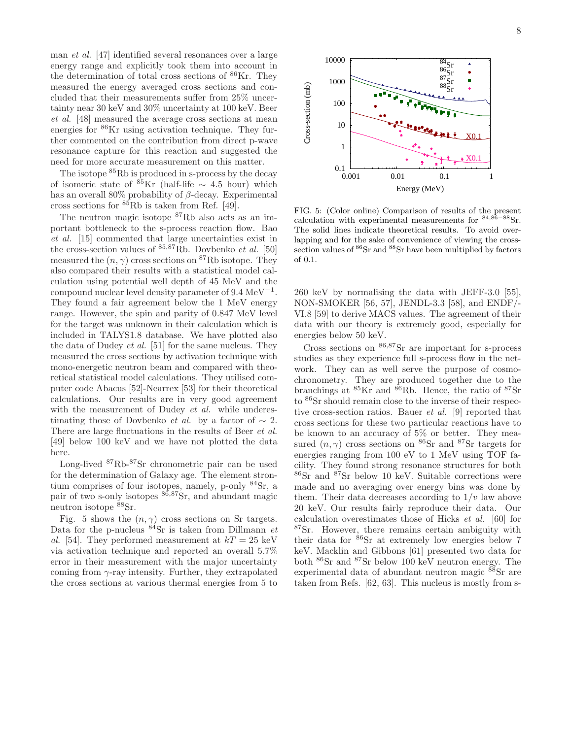man et al. [47] identified several resonances over a large energy range and explicitly took them into account in the determination of total cross sections of  $86$ Kr. They measured the energy averaged cross sections and concluded that their measurements suffer from 25% uncertainty near 30 keV and 30% uncertainty at 100 keV. Beer et al. [48] measured the average cross sections at mean energies for <sup>86</sup>Kr using activation technique. They further commented on the contribution from direct p-wave resonance capture for this reaction and suggested the need for more accurate measurement on this matter.

The isotope  ${}^{85}$ Rb is produced in s-process by the decay of isomeric state of  ${}^{85}\text{Kr}$  (half-life ~ 4.5 hour) which has an overall 80% probability of  $\beta$ -decay. Experimental cross sections for  ${}^{85}$ Rb is taken from Ref. [49].

The neutron magic isotope <sup>87</sup>Rb also acts as an important bottleneck to the s-process reaction flow. Bao et al. [15] commented that large uncertainties exist in the cross-section values of  $85,87Rb$ . Dovbenko *et al.* [50] measured the  $(n, \gamma)$  cross sections on <sup>87</sup>Rb isotope. They also compared their results with a statistical model calculation using potential well depth of 45 MeV and the compound nuclear level density parameter of  $9.4 \text{ MeV}^{-1}$ . They found a fair agreement below the 1 MeV energy range. However, the spin and parity of 0.847 MeV level for the target was unknown in their calculation which is included in TALYS1.8 database. We have plotted also the data of Dudey et al. [51] for the same nucleus. They measured the cross sections by activation technique with mono-energetic neutron beam and compared with theoretical statistical model calculations. They utilised computer code Abacus [52]-Nearrex [53] for their theoretical calculations. Our results are in very good agreement with the measurement of Dudey et al. while underestimating those of Dovbenko *et al.* by a factor of  $\sim 2$ . There are large fluctuations in the results of Beer et al. [49] below 100 keV and we have not plotted the data here.

Long-lived <sup>87</sup>Rb-<sup>87</sup>Sr chronometric pair can be used for the determination of Galaxy age. The element strontium comprises of four isotopes, namely, p-only  $84\text{Sr}$ , a pair of two s-only isotopes  $86,87$ Sr, and abundant magic neutron isotope  $88$ Sr.

Fig. 5 shows the  $(n, \gamma)$  cross sections on Sr targets. Data for the p-nucleus  $\frac{84}{15}$  is taken from Dillmann et al. [54]. They performed measurement at  $kT = 25 \text{ keV}$ via activation technique and reported an overall 5.7% error in their measurement with the major uncertainty coming from  $\gamma$ -ray intensity. Further, they extrapolated the cross sections at various thermal energies from 5 to



FIG. 5: (Color online) Comparison of results of the present calculation with experimental measurements for  $84,86-88$ Sr. The solid lines indicate theoretical results. To avoid overlapping and for the sake of convenience of viewing the crosssection values of  ${}^{86}Sr$  and  ${}^{88}Sr$  have been multiplied by factors of 0.1.

260 keV by normalising the data with JEFF-3.0 [55], NON-SMOKER [56, 57], JENDL-3.3 [58], and ENDF/- VI.8 [59] to derive MACS values. The agreement of their data with our theory is extremely good, especially for energies below 50 keV.

Cross sections on  $86,87$ Sr are important for s-process studies as they experience full s-process flow in the network. They can as well serve the purpose of cosmochronometry. They are produced together due to the branchings at  ${}^{85}$ Kr and  ${}^{86}$ Rb. Hence, the ratio of  ${}^{87}$ Sr to <sup>86</sup>Sr should remain close to the inverse of their respective cross-section ratios. Bauer et al. [9] reported that cross sections for these two particular reactions have to be known to an accuracy of 5% or better. They measured  $(n, \gamma)$  cross sections on <sup>86</sup>Sr and <sup>87</sup>Sr targets for energies ranging from 100 eV to 1 MeV using TOF facility. They found strong resonance structures for both <sup>86</sup>Sr and <sup>87</sup>Sr below 10 keV. Suitable corrections were made and no averaging over energy bins was done by them. Their data decreases according to  $1/v$  law above 20 keV. Our results fairly reproduce their data. Our calculation overestimates those of Hicks et al. [60] for <sup>87</sup>Sr. However, there remains certain ambiguity with their data for <sup>86</sup>Sr at extremely low energies below 7 keV. Macklin and Gibbons [61] presented two data for both <sup>86</sup>Sr and <sup>87</sup>Sr below 100 keV neutron energy. The experimental data of abundant neutron magic <sup>88</sup>Sr are taken from Refs. [62, 63]. This nucleus is mostly from s-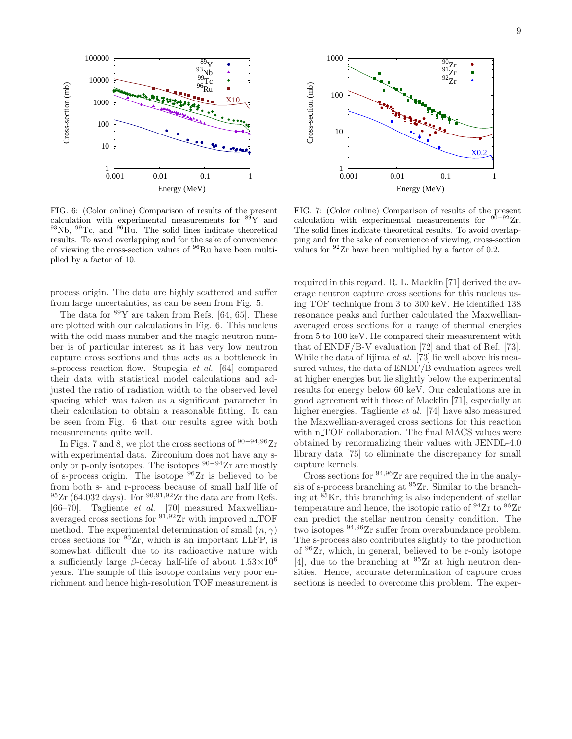

FIG. 6: (Color online) Comparison of results of the present calculation with experimental measurements for  $89Y$  and  $93\text{Nb}$ ,  $99\text{Tc}$ , and  $96\text{Ru}$ . The solid lines indicate theoretical results. To avoid overlapping and for the sake of convenience of viewing the cross-section values of <sup>96</sup>Ru have been multiplied by a factor of 10.

process origin. The data are highly scattered and suffer from large uncertainties, as can be seen from Fig. 5.

The data for  $89Y$  are taken from Refs. [64, 65]. These are plotted with our calculations in Fig. 6. This nucleus with the odd mass number and the magic neutron number is of particular interest as it has very low neutron capture cross sections and thus acts as a bottleneck in s-process reaction flow. Stupegia et al. [64] compared their data with statistical model calculations and adjusted the ratio of radiation width to the observed level spacing which was taken as a significant parameter in their calculation to obtain a reasonable fitting. It can be seen from Fig. 6 that our results agree with both measurements quite well.

In Figs. 7 and 8, we plot the cross sections of  $90-94,96$  Zr with experimental data. Zirconium does not have any sonly or p-only isotopes. The isotopes  $90-94$ Zr are mostly of s-process origin. The isotope  $96Zr$  is believed to be from both s- and r-process because of small half life of  $^{95}Zr$  (64.032 days). For  $^{90,91,92}Zr$  the data are from Refs. [66–70]. Tagliente et al. [70] measured Maxwellianaveraged cross sections for <sup>91,92</sup>Zr with improved n\_TOF method. The experimental determination of small  $(n, \gamma)$ cross sections for  $93Zr$ , which is an important LLFP, is somewhat difficult due to its radioactive nature with a sufficiently large  $\beta$ -decay half-life of about  $1.53 \times 10^6$ years. The sample of this isotope contains very poor enrichment and hence high-resolution TOF measurement is



FIG. 7: (Color online) Comparison of results of the present calculation with experimental measurements for  $90-92Zr$ . The solid lines indicate theoretical results. To avoid overlapping and for the sake of convenience of viewing, cross-section values for <sup>92</sup>Zr have been multiplied by a factor of 0.2.

required in this regard. R. L. Macklin [71] derived the average neutron capture cross sections for this nucleus using TOF technique from 3 to 300 keV. He identified 138 resonance peaks and further calculated the Maxwellianaveraged cross sections for a range of thermal energies from 5 to 100 keV. He compared their measurement with that of ENDF/B-V evaluation [72] and that of Ref. [73]. While the data of Iijima et al. [73] lie well above his measured values, the data of ENDF/B evaluation agrees well at higher energies but lie slightly below the experimental results for energy below 60 keV. Our calculations are in good agreement with those of Macklin [71], especially at higher energies. Tagliente *et al.* [74] have also measured the Maxwellian-averaged cross sections for this reaction with n TOF collaboration. The final MACS values were obtained by renormalizing their values with JENDL-4.0 library data [75] to eliminate the discrepancy for small capture kernels.

Cross sections for <sup>94</sup>,<sup>96</sup>Zr are required the in the analysis of s-process branching at <sup>95</sup>Zr. Similar to the branching at  ${}^{85}$ Kr, this branching is also independent of stellar temperature and hence, the isotopic ratio of  $94$ Zr to  $96$ Zr can predict the stellar neutron density condition. The two isotopes <sup>94</sup>,96Zr suffer from overabundance problem. The s-process also contributes slightly to the production of <sup>96</sup>Zr, which, in general, believed to be r-only isotope [4], due to the branching at  $95Zr$  at high neutron densities. Hence, accurate determination of capture cross sections is needed to overcome this problem. The exper-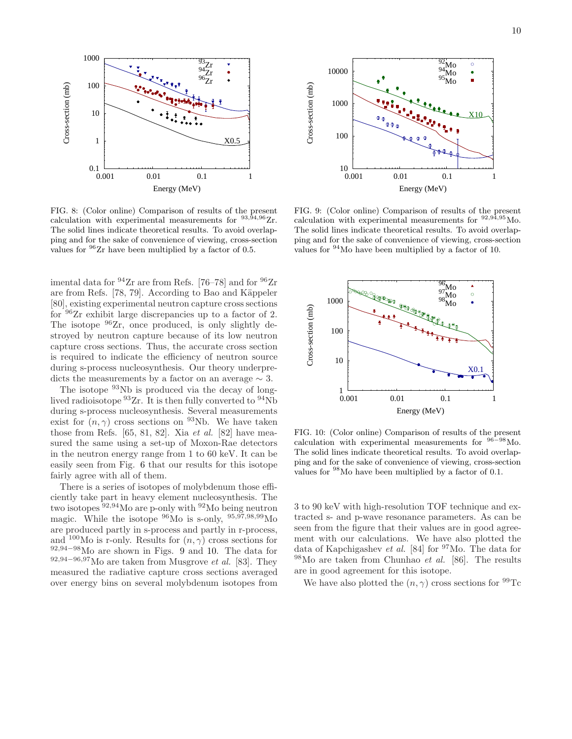

FIG. 8: (Color online) Comparison of results of the present calculation with experimental measurements for  $93,94,96$  Zr. The solid lines indicate theoretical results. To avoid overlapping and for the sake of convenience of viewing, cross-section values for  $\frac{96}{2}$ r have been multiplied by a factor of 0.5.

imental data for  $94Zr$  are from Refs. [76–78] and for  $96Zr$ are from Refs.  $[78, 79]$ . According to Bao and Käppeler [80], existing experimental neutron capture cross sections for <sup>96</sup>Zr exhibit large discrepancies up to a factor of 2. The isotope  $96Zr$ , once produced, is only slightly destroyed by neutron capture because of its low neutron capture cross sections. Thus, the accurate cross section is required to indicate the efficiency of neutron source during s-process nucleosynthesis. Our theory underpredicts the measurements by a factor on an average  $\sim 3$ .

The isotope <sup>93</sup>Nb is produced via the decay of longlived radioisotope  ${}^{93}Zr$ . It is then fully converted to  ${}^{94}Nb$ during s-process nucleosynthesis. Several measurements exist for  $(n, \gamma)$  cross sections on <sup>93</sup>Nb. We have taken those from Refs.  $[65, 81, 82]$ . Xia *et al.*  $[82]$  have measured the same using a set-up of Moxon-Rae detectors in the neutron energy range from 1 to 60 keV. It can be easily seen from Fig. 6 that our results for this isotope fairly agree with all of them.

There is a series of isotopes of molybdenum those efficiently take part in heavy element nucleosynthesis. The two isotopes <sup>92</sup>,94Mo are p-only with <sup>92</sup>Mo being neutron magic. While the isotope  $^{96}$ Mo is s-only,  $^{95,97,98,99}$ Mo are produced partly in s-process and partly in r-process, and <sup>100</sup>Mo is r-only. Results for  $(n, \gamma)$  cross sections for <sup>92</sup>,94−98Mo are shown in Figs. 9 and 10. The data for  $92,94-96,97$ Mo are taken from Musgrove *et al.* [83]. They measured the radiative capture cross sections averaged over energy bins on several molybdenum isotopes from



FIG. 9: (Color online) Comparison of results of the present calculation with experimental measurements for  $92,94,95$  Mo. The solid lines indicate theoretical results. To avoid overlapping and for the sake of convenience of viewing, cross-section values for <sup>94</sup>Mo have been multiplied by a factor of 10.



FIG. 10: (Color online) Comparison of results of the present calculation with experimental measurements for <sup>96</sup>−<sup>98</sup>Mo. The solid lines indicate theoretical results. To avoid overlapping and for the sake of convenience of viewing, cross-section values for <sup>98</sup>Mo have been multiplied by a factor of 0.1.

3 to 90 keV with high-resolution TOF technique and extracted s- and p-wave resonance parameters. As can be seen from the figure that their values are in good agreement with our calculations. We have also plotted the data of Kapchigashev et al. [84] for <sup>97</sup>Mo. The data for  $98$ Mo are taken from Chunhao *et al.* [86]. The results are in good agreement for this isotope.

We have also plotted the  $(n, \gamma)$  cross sections for <sup>99</sup>Tc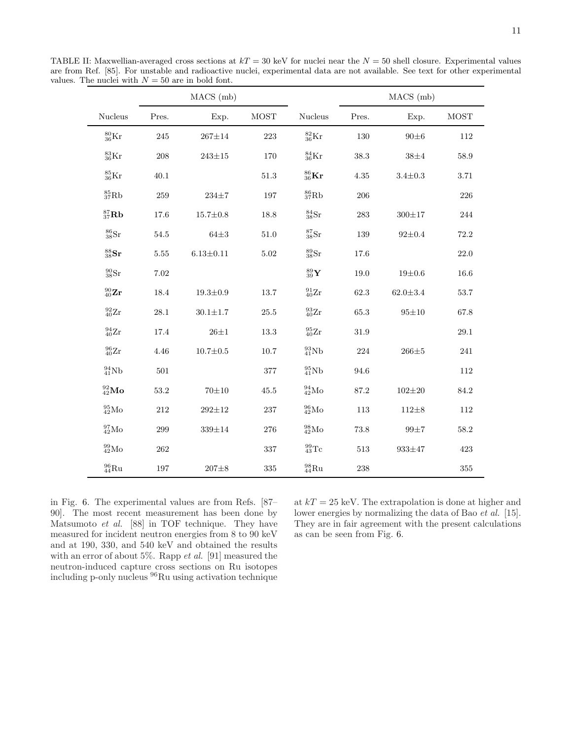TABLE II: Maxwellian-averaged cross sections at  $kT = 30$  keV for nuclei near the  $N = 50$  shell closure. Experimental values are from Ref. [85]. For unstable and radioactive nuclei, experimental data are not available. See text for other experimental values. The nuclei with  $N = 50$  are in bold font.

|                           |          | MACS (mb)       |          |                           | MACS (mb) |                |           |  |  |
|---------------------------|----------|-----------------|----------|---------------------------|-----------|----------------|-----------|--|--|
| Nucleus                   | Pres.    | Exp.            |          | Nucleus                   | Pres.     | Exp.           | MOST      |  |  |
| $^{80}_{36}$ Kr           | $245\,$  | $267{\pm}14$    | 223      | $^{82}_{36}Kr$            | $130\,$   | $90\pm6$       | 112       |  |  |
| $^{83}_{36}\text{Kr}$     | 208      | $243 \pm 15$    | 170      | $^{84}_{36}$ Kr           | $38.3\,$  | $38\pm4$       | 58.9      |  |  |
| ${}^{85}_{36}\text{Kr}$   | 40.1     |                 | $51.3\,$ | $^{86}_{36}$ Kr           | $4.35\,$  | $3.4{\pm}0.3$  | 3.71      |  |  |
| ${}^{85}_{37}Rb$          | 259      | $234 \pm 7$     | 197      | ${}^{86}_{37}Rb$          | 206       |                | $226\,$   |  |  |
| ${}^{87}_{37}$ Rb         | $17.6\,$ | $15.7 \pm 0.8$  | 18.8     | ${}^{84}_{38}\text{Sr}$   | $\bf 283$ | $300 + 17$     | $\bf 244$ |  |  |
| $_{38}^{86}\mathrm{Sr}$   | $54.5\,$ | $64{\pm}3$      | $51.0\,$ | ${}^{87}_{38}\mathrm{Sr}$ | 139       | $92 \pm 0.4$   | 72.2      |  |  |
| ${}^{88}_{38}\mathrm{Sr}$ | $5.55\,$ | $6.13{\pm}0.11$ | $5.02\,$ | ${}^{89}_{38}\text{Sr}$   | $17.6\,$  |                | $22.0\,$  |  |  |
| ${}^{90}_{38}\text{Sr}$   | $7.02\,$ |                 |          | $^{89}_{39}\mathbf{Y}$    | $19.0\,$  | $19 + 0.6$     | $16.6\,$  |  |  |
| $^{90}_{40}\mathbf{Zr}$   | 18.4     | $19.3{\pm}0.9$  | $13.7\,$ | $^{91}_{40}\rm{Zr}$       | $62.3\,$  | $62.0{\pm}3.4$ | $53.7\,$  |  |  |
| $^{92}_{40}\mathrm{Zr}$   | $28.1\,$ | $30.1 + 1.7$    | $25.5\,$ | ${}^{93}_{40}\text{Zr}$   | 65.3      | $95 + 10$      | 67.8      |  |  |
| $^{94}_{40}\text{Zr}$     | $17.4\,$ | $26{\pm}1$      | $13.3\,$ | $^{95}_{40}\mathrm{Zr}$   | $31.9\,$  |                | $29.1\,$  |  |  |
| $^{96}_{40}\text{Zr}$     | 4.46     | $10.7 \pm 0.5$  | 10.7     | $^{93}_{41}{\rm Nb}$      | 224       | $266\pm5$      | 241       |  |  |
| $^{94}_{41}Nb$            | $501\,$  |                 | $377\,$  | $^{95}_{41}Nb$            | 94.6      |                | $112\,$   |  |  |
| $^{92}_{42}$ Mo           | $53.2\,$ | $70 + 10$       | $45.5\,$ | $^{94}_{42}$ Mo           | $87.2\,$  | $102 + 20$     | 84.2      |  |  |
| $^{95}_{42}$ Mo           | 212      | $292{\pm}12$    | 237      | $^{96}_{42}$ Mo           | 113       | $112\pm8$      | 112       |  |  |
| $^{97}_{42}\rm{Mo}$       | 299      | $339 \pm 14$    | 276      | $^{98}_{42}\text{Mo}$     | $73.8\,$  | $99\pm7$       | 58.2      |  |  |
| $\rm ^{99}_{42}Mo$        | $262\,$  |                 | 337      | $^{99}_{43}\mathrm{Tc}$   | 513       | $933 \pm 47$   | 423       |  |  |
| $\rm ^{96}_{44}Ru$        | 197      | $207 + 8$       | 335      | $\rm ^{98}_{44}Ru$        | $\bf 238$ |                | 355       |  |  |

in Fig. 6. The experimental values are from Refs. [87– 90]. The most recent measurement has been done by Matsumoto et al. [88] in TOF technique. They have measured for incident neutron energies from 8 to 90 keV and at 190, 330, and 540 keV and obtained the results with an error of about  $5\%$ . Rapp *et al.* [91] measured the neutron-induced capture cross sections on Ru isotopes including p-only nucleus <sup>96</sup>Ru using activation technique

at  $kT = 25$  keV. The extrapolation is done at higher and lower energies by normalizing the data of Bao et al. [15]. They are in fair agreement with the present calculations as can be seen from Fig. 6.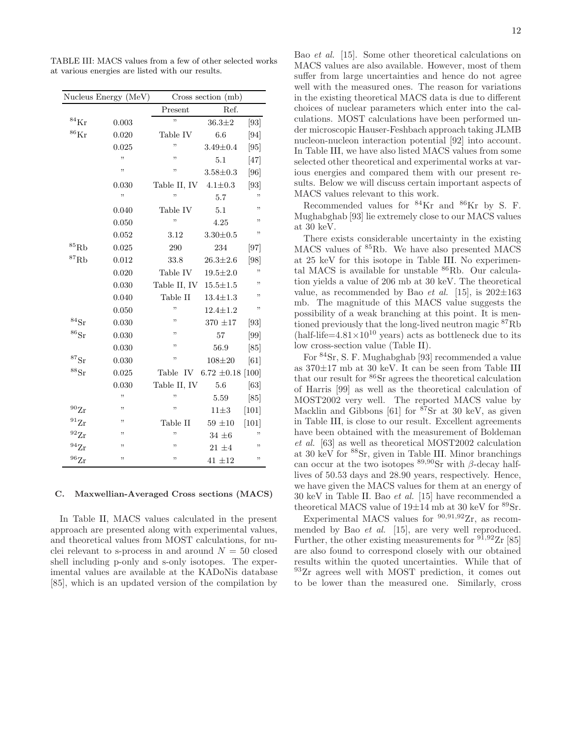|                      | Nucleus Energy (MeV) | Cross section (mb)       |                       |         |  |  |  |
|----------------------|----------------------|--------------------------|-----------------------|---------|--|--|--|
|                      |                      | Present                  | Ref.                  |         |  |  |  |
| $^{84}\mathrm{Kr}$   | 0.003                | ,,                       | $36.3 \pm 2$          | [93]    |  |  |  |
| $^{86}\mathrm{Kr}$   | 0.020                | Table IV                 | 6.6                   | [94]    |  |  |  |
|                      | 0.025                | ,,                       | $3.49 \pm 0.4$        | [95]    |  |  |  |
|                      | "                    | "                        | 5.1                   | $[47]$  |  |  |  |
|                      | ,,                   | ,,                       | $3.58 \pm 0.3$        | [96]    |  |  |  |
|                      | 0.030                | Table II, IV $4.1\pm0.3$ |                       | [93]    |  |  |  |
|                      | ,,                   | ,,                       | 5.7                   | ,,      |  |  |  |
|                      | 0.040                | Table IV                 | 5.1                   | "       |  |  |  |
|                      | 0.050                | ,,                       | 4.25                  | ,,      |  |  |  |
|                      | 0.052                | 3.12                     | $3.30 \pm 0.5$        | ,,      |  |  |  |
| $^{85}\mathrm{Rb}$   | 0.025                | 290                      | 234                   | [97]    |  |  |  |
| ${}^{87}\mathrm{Rb}$ | 0.012                | 33.8                     | $26.3 \pm 2.6$        | [98]    |  |  |  |
|                      | 0.020                | Table IV                 | $19.5 \pm 2.0$        | ,,      |  |  |  |
|                      | 0.030                | Table II, IV             | $15.5 \pm 1.5$        | ,,      |  |  |  |
|                      | 0.040                | Table II                 | $13.4 \pm 1.3$        | ,,      |  |  |  |
|                      | 0.050                | ,                        | $12.4 \pm 1.2$        | ,,      |  |  |  |
| $^{84}\rm{Sr}$       | 0.030                | ,,                       | 370 ±17               | [93]    |  |  |  |
| ${}^{86}\mathrm{Sr}$ | 0.030                | ,,                       | 57                    | [99]    |  |  |  |
|                      | 0.030                | ,,                       | 56.9                  | [85]    |  |  |  |
| ${}^{87}\mathrm{Sr}$ | 0.030                | ,,                       | $108 + 20$            | [61]    |  |  |  |
| $^{88}\mathrm{Sr}$   | 0.025                | Table IV                 | $6.72 \pm 0.18$ [100] |         |  |  |  |
|                      | 0.030                | Table II, IV             | 5.6                   | [63]    |  |  |  |
|                      | ,,                   | ,,                       | 5.59                  | [85]    |  |  |  |
| $^{90}Zr$            | "                    | "                        | $11\pm3$              | $[101]$ |  |  |  |
| $^{91}Zr$            | "                    | Table II                 | $59 \pm 10$           | $[101]$ |  |  |  |
| $^{92}Zr$            | "                    | ,,                       | $34 \pm 6$            | ,,      |  |  |  |
| $^{94}Zr$            | ,,                   | ,,                       | $21~\pm 4$            | ,,      |  |  |  |
| $^{96}\mathrm{Zr}$   | ,,                   | "                        | $41 \pm 12$           | ,,      |  |  |  |

TABLE III: MACS values from a few of other selected works at various energies are listed with our results.

#### C. Maxwellian-Averaged Cross sections (MACS)

In Table II, MACS values calculated in the present approach are presented along with experimental values, and theoretical values from MOST calculations, for nuclei relevant to s-process in and around  $N = 50$  closed shell including p-only and s-only isotopes. The experimental values are available at the KADoNis database [85], which is an updated version of the compilation by Bao et al. [15]. Some other theoretical calculations on MACS values are also available. However, most of them suffer from large uncertainties and hence do not agree well with the measured ones. The reason for variations in the existing theoretical MACS data is due to different choices of nuclear parameters which enter into the calculations. MOST calculations have been performed under microscopic Hauser-Feshbach approach taking JLMB nucleon-nucleon interaction potential [92] into account. In Table III, we have also listed MACS values from some selected other theoretical and experimental works at various energies and compared them with our present results. Below we will discuss certain important aspects of MACS values relevant to this work.

Recommended values for <sup>84</sup>Kr and <sup>86</sup>Kr by S. F. Mughabghab [93] lie extremely close to our MACS values at 30 keV.

There exists considerable uncertainty in the existing MACS values of <sup>85</sup>Rb. We have also presented MACS at 25 keV for this isotope in Table III. No experimental MACS is available for unstable <sup>86</sup>Rb. Our calculation yields a value of 206 mb at 30 keV. The theoretical value, as recommended by Bao *et al.* [15], is  $202\pm163$ mb. The magnitude of this MACS value suggests the possibility of a weak branching at this point. It is mentioned previously that the long-lived neutron magic <sup>87</sup>Rb (half-life= $4.81\times10^{10}$  years) acts as bottleneck due to its low cross-section value (Table II).

For <sup>84</sup>Sr, S. F. Mughabghab [93] recommended a value as 370±17 mb at 30 keV. It can be seen from Table III that our result for <sup>86</sup>Sr agrees the theoretical calculation of Harris [99] as well as the theoretical calculation of MOST2002 very well. The reported MACS value by Macklin and Gibbons [61] for  $87Sr$  at 30 keV, as given in Table III, is close to our result. Excellent agreements have been obtained with the measurement of Boldeman et al. [63] as well as theoretical MOST2002 calculation at 30 keV for <sup>88</sup>Sr, given in Table III. Minor branchings can occur at the two isotopes  $89,90$ Sr with β-decay halflives of 50.53 days and 28.90 years, respectively. Hence, we have given the MACS values for them at an energy of 30 keV in Table II. Bao et al. [15] have recommended a theoretical MACS value of  $19\pm14$  mb at 30 keV for  ${}^{89}\mathrm{Sr}.$ 

Experimental MACS values for  $90,91,92$ Tr, as recommended by Bao et al. [15], are very well reproduced. Further, the other existing measurements for  $91,92Zr$  [85] are also found to correspond closely with our obtained results within the quoted uncertainties. While that of <sup>93</sup>Zr agrees well with MOST prediction, it comes out to be lower than the measured one. Similarly, cross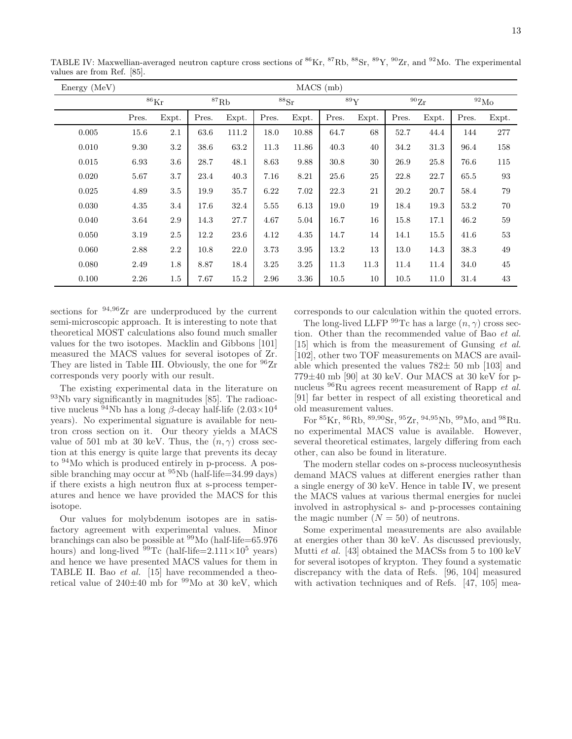| Energy (MeV) | $MACS$ (mb)        |         |                   |          |                      |       |       |       |           |       |                |         |
|--------------|--------------------|---------|-------------------|----------|----------------------|-------|-------|-------|-----------|-------|----------------|---------|
|              | $^{86}\mathrm{Kr}$ |         | ${}^{87}{\rm Rb}$ |          | ${}^{88}\mathrm{Sr}$ |       | 89Y   |       | $^{90}Zr$ |       | $^{92}\rm{Mo}$ |         |
|              | Pres.              | Expt.   | Pres.             | Expt.    | Pres.                | Expt. | Pres. | Expt. | Pres.     | Expt. | Pres.          | Expt.   |
| 0.005        | 15.6               | 2.1     | 63.6              | 111.2    | 18.0                 | 10.88 | 64.7  | 68    | 52.7      | 44.4  | 144            | $277\,$ |
| 0.010        | 9.30               | 3.2     | 38.6              | 63.2     | 11.3                 | 11.86 | 40.3  | 40    | 34.2      | 31.3  | 96.4           | 158     |
| 0.015        | 6.93               | $3.6\,$ | 28.7              | 48.1     | 8.63                 | 9.88  | 30.8  | 30    | 26.9      | 25.8  | 76.6           | 115     |
| 0.020        | 5.67               | $3.7\,$ | 23.4              | 40.3     | 7.16                 | 8.21  | 25.6  | 25    | 22.8      | 22.7  | 65.5           | 93      |
| 0.025        | 4.89               | 3.5     | 19.9              | 35.7     | 6.22                 | 7.02  | 22.3  | 21    | 20.2      | 20.7  | 58.4           | 79      |
| 0.030        | 4.35               | 3.4     | 17.6              | 32.4     | 5.55                 | 6.13  | 19.0  | 19    | 18.4      | 19.3  | 53.2           | 70      |
| 0.040        | 3.64               | 2.9     | 14.3              | $27.7\,$ | 4.67                 | 5.04  | 16.7  | 16    | 15.8      | 17.1  | 46.2           | 59      |
| 0.050        | 3.19               | 2.5     | 12.2              | 23.6     | 4.12                 | 4.35  | 14.7  | 14    | 14.1      | 15.5  | 41.6           | 53      |
| 0.060        | 2.88               | $2.2\,$ | 10.8              | $22.0\,$ | 3.73                 | 3.95  | 13.2  | 13    | 13.0      | 14.3  | 38.3           | 49      |
| 0.080        | 2.49               | 1.8     | 8.87              | 18.4     | 3.25                 | 3.25  | 11.3  | 11.3  | 11.4      | 11.4  | 34.0           | 45      |
| 0.100        | 2.26               | $1.5\,$ | 7.67              | 15.2     | 2.96                 | 3.36  | 10.5  | 10    | 10.5      | 11.0  | 31.4           | 43      |

TABLE IV: Maxwellian-averaged neutron capture cross sections of <sup>86</sup>Kr, <sup>87</sup>Rb, <sup>88</sup>Sr, <sup>89</sup>Y, <sup>90</sup>Zr, and <sup>92</sup>Mo. The experimental values are from Ref. [85].

sections for  $94.96Zr$  are underproduced by the current semi-microscopic approach. It is interesting to note that theoretical MOST calculations also found much smaller values for the two isotopes. Macklin and Gibbons [101] measured the MACS values for several isotopes of Zr. They are listed in Table III. Obviously, the one for  $96Zr$ corresponds very poorly with our result.

The existing experimental data in the literature on <sup>93</sup>Nb vary significantly in magnitudes [85]. The radioactive nucleus <sup>94</sup>Nb has a long β-decay half-life  $(2.03\times10^4$ years). No experimental signature is available for neutron cross section on it. Our theory yields a MACS value of 501 mb at 30 keV. Thus, the  $(n, \gamma)$  cross section at this energy is quite large that prevents its decay to <sup>94</sup>Mo which is produced entirely in p-process. A possible branching may occur at  $\frac{95}{N}$ b (half-life=34.99 days) if there exists a high neutron flux at s-process temperatures and hence we have provided the MACS for this isotope.

Our values for molybdenum isotopes are in satisfactory agreement with experimental values. Minor branchings can also be possible at  $\frac{99}{10}$  (half-life=65.976) hours) and long-lived  $99Tc$  (half-life=2.111×10<sup>5</sup> years) and hence we have presented MACS values for them in TABLE II. Bao et al. [15] have recommended a theoretical value of  $240\pm40$  mb for  $99\text{Mo}$  at 30 keV, which corresponds to our calculation within the quoted errors.

The long-lived LLFP  $^{99}$ Tc has a large  $(n, \gamma)$  cross section. Other than the recommended value of Bao et al. [15] which is from the measurement of Gunsing et al. [102], other two TOF measurements on MACS are available which presented the values  $782\pm 50$  mb [103] and  $779\pm40$  mb [90] at 30 keV. Our MACS at 30 keV for pnucleus  ${}^{96}$ Ru agrees recent measurement of Rapp *et al.* [91] far better in respect of all existing theoretical and old measurement values.

For <sup>85</sup>Kr, <sup>86</sup>Rb, <sup>89</sup>,<sup>90</sup>Sr, <sup>95</sup>Zr, <sup>94</sup>,<sup>95</sup>Nb, <sup>99</sup>Mo, and <sup>98</sup>Ru. no experimental MACS value is available. However, several theoretical estimates, largely differing from each other, can also be found in literature.

The modern stellar codes on s-process nucleosynthesis demand MACS values at different energies rather than a single energy of 30 keV. Hence in table IV, we present the MACS values at various thermal energies for nuclei involved in astrophysical s- and p-processes containing the magic number  $(N = 50)$  of neutrons.

Some experimental measurements are also available at energies other than 30 keV. As discussed previously, Mutti et al. [43] obtained the MACSs from 5 to 100 keV for several isotopes of krypton. They found a systematic discrepancy with the data of Refs. [96, 104] measured with activation techniques and of Refs. [47, 105] mea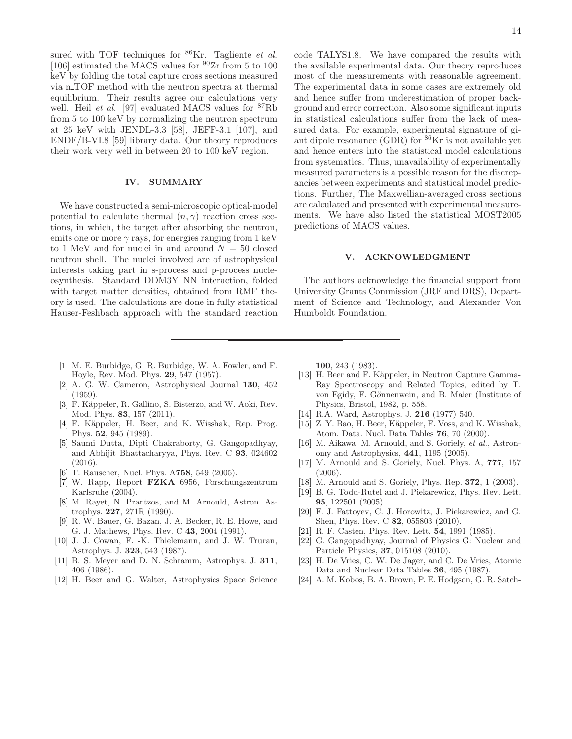sured with TOF techniques for  $86$ Kr. Tagliente *et al.* [106] estimated the MACS values for  $90Zr$  from 5 to 100 keV by folding the total capture cross sections measured via n TOF method with the neutron spectra at thermal equilibrium. Their results agree our calculations very well. Heil *et al.* [97] evaluated MACS values for  ${}^{87}Rb$ from 5 to 100 keV by normalizing the neutron spectrum at 25 keV with JENDL-3.3 [58], JEFF-3.1 [107], and ENDF/B-VI.8 [59] library data. Our theory reproduces their work very well in between 20 to 100 keV region.

### IV. SUMMARY

We have constructed a semi-microscopic optical-model potential to calculate thermal  $(n, \gamma)$  reaction cross sections, in which, the target after absorbing the neutron, emits one or more  $\gamma$  rays, for energies ranging from 1 keV to 1 MeV and for nuclei in and around  $N = 50$  closed neutron shell. The nuclei involved are of astrophysical interests taking part in s-process and p-process nucleosynthesis. Standard DDM3Y NN interaction, folded with target matter densities, obtained from RMF theory is used. The calculations are done in fully statistical Hauser-Feshbach approach with the standard reaction

- [1] M. E. Burbidge, G. R. Burbidge, W. A. Fowler, and F. Hoyle, Rev. Mod. Phys. 29, 547 (1957).
- [2] A. G. W. Cameron, Astrophysical Journal 130, 452 (1959).
- [3] F. Käppeler, R. Gallino, S. Bisterzo, and W. Aoki, Rev. Mod. Phys. 83, 157 (2011).
- [4] F. Käppeler, H. Beer, and K. Wisshak, Rep. Prog. Phys. 52, 945 (1989).
- [5] Saumi Dutta, Dipti Chakraborty, G. Gangopadhyay, and Abhijit Bhattacharyya, Phys. Rev. C 93, 024602 (2016).
- [6] T. Rauscher, Nucl. Phys. A758, 549 (2005).
- [7] W. Rapp, Report FZKA 6956, Forschungszentrum Karlsruhe (2004).
- [8] M. Rayet, N. Prantzos, and M. Arnould, Astron. Astrophys. 227, 271R (1990).
- [9] R. W. Bauer, G. Bazan, J. A. Becker, R. E. Howe, and G. J. Mathews, Phys. Rev. C 43, 2004 (1991).
- [10] J. J. Cowan, F. -K. Thielemann, and J. W. Truran, Astrophys. J. 323, 543 (1987).
- [11] B. S. Meyer and D. N. Schramm, Astrophys. J. 311, 406 (1986).
- [12] H. Beer and G. Walter, Astrophysics Space Science

100, 243 (1983).

Humboldt Foundation.

predictions of MACS values.

[13] H. Beer and F. Käppeler, in Neutron Capture Gamma-Ray Spectroscopy and Related Topics, edited by T. von Egidy, F. Gönnenwein, and B. Maier (Institute of Physics, Bristol, 1982, p. 558.

V. ACKNOWLEDGMENT

The authors acknowledge the financial support from University Grants Commission (JRF and DRS), Department of Science and Technology, and Alexander Von

code TALYS1.8. We have compared the results with the available experimental data. Our theory reproduces most of the measurements with reasonable agreement. The experimental data in some cases are extremely old and hence suffer from underestimation of proper background and error correction. Also some significant inputs in statistical calculations suffer from the lack of measured data. For example, experimental signature of giant dipole resonance (GDR) for  ${}^{86}\text{Kr}$  is not available yet and hence enters into the statistical model calculations from systematics. Thus, unavailability of experimentally measured parameters is a possible reason for the discrepancies between experiments and statistical model predictions. Further, The Maxwellian-averaged cross sections are calculated and presented with experimental measurements. We have also listed the statistical MOST2005

- [14] R.A. Ward, Astrophys. J. 216 (1977) 540.
- [15] Z. Y. Bao, H. Beer, Käppeler, F. Voss, and K. Wisshak, Atom. Data. Nucl. Data Tables 76, 70 (2000).
- [16] M. Aikawa, M. Arnould, and S. Goriely, et al., Astronomy and Astrophysics, 441, 1195 (2005).
- [17] M. Arnould and S. Goriely, Nucl. Phys. A, 777, 157 (2006).
- [18] M. Arnould and S. Goriely, Phys. Rep. **372**, 1 (2003).
- [19] B. G. Todd-Rutel and J. Piekarewicz, Phys. Rev. Lett. 95, 122501 (2005).
- [20] F. J. Fattoyev, C. J. Horowitz, J. Piekarewicz, and G. Shen, Phys. Rev. C 82, 055803 (2010).
- [21] R. F. Casten, Phys. Rev. Lett. 54, 1991 (1985).
- [22] G. Gangopadhyay, Journal of Physics G: Nuclear and Particle Physics, 37, 015108 (2010).
- [23] H. De Vries, C. W. De Jager, and C. De Vries, Atomic Data and Nuclear Data Tables 36, 495 (1987).
- [24] A. M. Kobos, B. A. Brown, P. E. Hodgson, G. R. Satch-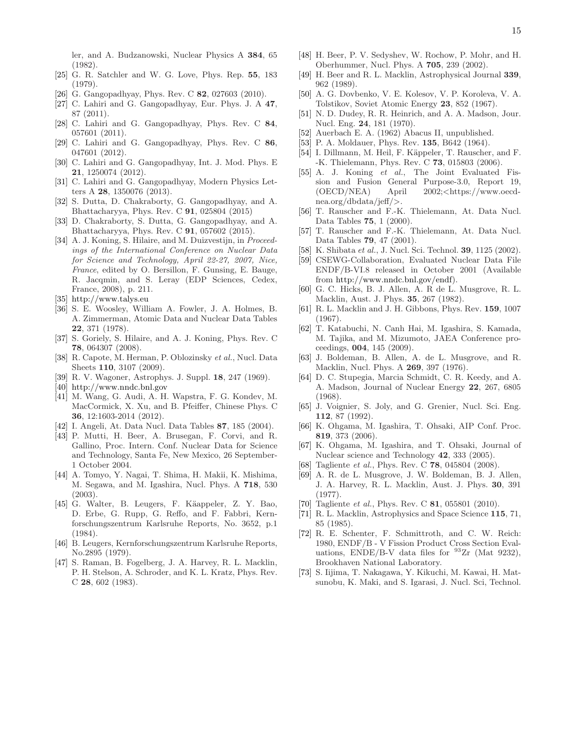ler, and A. Budzanowski, Nuclear Physics A 384, 65 (1982).

- [25] G. R. Satchler and W. G. Love, Phys. Rep. 55, 183 (1979).
- [26] G. Gangopadhyay, Phys. Rev. C 82, 027603 (2010).
- [27] C. Lahiri and G. Gangopadhyay, Eur. Phys. J. A 47, 87 (2011).
- [28] C. Lahiri and G. Gangopadhyay, Phys. Rev. C 84, 057601 (2011).
- [29] C. Lahiri and G. Gangopadhyay, Phys. Rev. C 86, 047601 (2012).
- [30] C. Lahiri and G. Gangopadhyay, Int. J. Mod. Phys. E 21, 1250074 (2012).
- [31] C. Lahiri and G. Gangopadhyay, Modern Physics Letters A 28, 1350076 (2013).
- [32] S. Dutta, D. Chakraborty, G. Gangopadhyay, and A. Bhattacharyya, Phys. Rev. C 91, 025804 (2015)
- [33] D. Chakraborty, S. Dutta, G. Gangopadhyay, and A. Bhattacharyya, Phys. Rev. C 91, 057602 (2015).
- [34] A. J. Koning, S. Hilaire, and M. Duizvestijn, in Proceedings of the International Conference on Nuclear Data for Science and Technology, April 22-27, 2007, Nice, France, edited by O. Bersillon, F. Gunsing, E. Bauge, R. Jacqmin, and S. Leray (EDP Sciences, Cedex, France, 2008), p. 211.
- [35] http://www.talys.eu
- [36] S. E. Woosley, William A. Fowler, J. A. Holmes, B. A. Zimmerman, Atomic Data and Nuclear Data Tables 22, 371 (1978).
- [37] S. Goriely, S. Hilaire, and A. J. Koning, Phys. Rev. C 78, 064307 (2008).
- [38] R. Capote, M. Herman, P. Oblozinsky et al., Nucl. Data Sheets 110, 3107 (2009).
- [39] R. V. Wagoner, Astrophys. J. Suppl. 18, 247 (1969).
- [40] http://www.nndc.bnl.gov
- [41] M. Wang, G. Audi, A. H. Wapstra, F. G. Kondev, M. MacCormick, X. Xu, and B. Pfeiffer, Chinese Phys. C 36, 12:1603-2014 (2012).
- [42] I. Angeli, At. Data Nucl. Data Tables 87, 185 (2004).
- [43] P. Mutti, H. Beer, A. Brusegan, F. Corvi, and R. Gallino, Proc. Intern. Conf. Nuclear Data for Science and Technology, Santa Fe, New Mexico, 26 September-1 October 2004.
- [44] A. Tomyo, Y. Nagai, T. Shima, H. Makii, K. Mishima, M. Segawa, and M. Igashira, Nucl. Phys. A 718, 530 (2003).
- [45] G. Walter, B. Leugers, F. Käappeler, Z. Y. Bao, D. Erbe, G. Rupp, G. Reffo, and F. Fabbri, Kernforschungszentrum Karlsruhe Reports, No. 3652, p.1 (1984).
- [46] B. Leugers, Kernforschungszentrum Karlsruhe Reports, No.2895 (1979).
- [47] S. Raman, B. Fogelberg, J. A. Harvey, R. L. Macklin, P. H. Stelson, A. Schroder, and K. L. Kratz, Phys. Rev. C 28, 602 (1983).
- [48] H. Beer, P. V. Sedyshev, W. Rochow, P. Mohr, and H. Oberhummer, Nucl. Phys. A 705, 239 (2002).
- [49] H. Beer and R. L. Macklin, Astrophysical Journal 339, 962 (1989).
- [50] A. G. Dovbenko, V. E. Kolesov, V. P. Koroleva, V. A. Tolstikov, Soviet Atomic Energy 23, 852 (1967).
- [51] N. D. Dudey, R. R. Heinrich, and A. A. Madson, Jour. Nucl. Eng. 24, 181 (1970).
- [52] Auerbach E. A. (1962) Abacus II, unpublished.
- [53] P. A. Moldauer, Phys. Rev. **135**, B642 (1964).
- [54] I. Dillmann, M. Heil, F. Käppeler, T. Rauscher, and F. -K. Thielemann, Phys. Rev. C 73, 015803 (2006).
- [55] A. J. Koning et al., The Joint Evaluated Fission and Fusion General Purpose-3.0, Report 19, (OECD/NEA) April 2002;<https://www.oecdnea.org/dbdata/jeff/>.
- [56] T. Rauscher and F.-K. Thielemann, At. Data Nucl. Data Tables 75, 1 (2000).
- [57] T. Rauscher and F.-K. Thielemann, At. Data Nucl. Data Tables 79, 47 (2001).
- [58] K. Shibata et al., J. Nucl. Sci. Technol. **39**, 1125 (2002).
- [59] CSEWG-Collaboration, Evaluated Nuclear Data File ENDF/B-VI.8 released in October 2001 (Available from http://www.nndc.bnl.gov/endf).
- [60] G. C. Hicks, B. J. Allen, A. R de L. Musgrove, R. L. Macklin, Aust. J. Phys. 35, 267 (1982).
- [61] R. L. Macklin and J. H. Gibbons, Phys. Rev. 159, 1007 (1967).
- [62] T. Katabuchi, N. Canh Hai, M. Igashira, S. Kamada, M. Tajika, and M. Mizumoto, JAEA Conference proceedings, 004, 145 (2009).
- [63] J. Boldeman, B. Allen, A. de L. Musgrove, and R. Macklin, Nucl. Phys. A 269, 397 (1976).
- [64] D. C. Stupegia, Marcia Schmidt, C. R. Keedy, and A. A. Madson, Journal of Nuclear Energy 22, 267, 6805 (1968).
- [65] J. Voignier, S. Joly, and G. Grenier, Nucl. Sci. Eng. 112, 87 (1992).
- [66] K. Ohgama, M. Igashira, T. Ohsaki, AIP Conf. Proc. 819, 373 (2006).
- [67] K. Ohgama, M. Igashira, and T. Ohsaki, Journal of Nuclear science and Technology 42, 333 (2005).
- [68] Tagliente *et al.*, Phys. Rev. C **78**, 045804 (2008).
- [69] A. R. de L. Musgrove, J. W. Boldeman, B. J. Allen, J. A. Harvey, R. L. Macklin, Aust. J. Phys. 30, 391 (1977).
- [70] Tagliente et al., Phys. Rev. C 81, 055801 (2010).
- [71] R. L. Macklin, Astrophysics and Space Science 115, 71, 85 (1985).
- [72] R. E. Schenter, F. Schmittroth, and C. W. Reich: 1980, ENDF/B - V Fission Product Cross Section Evaluations, ENDE/B-V data files for  $^{93}Zr$  (Mat 9232), Brookhaven National Laboratory.
- [73] S. Iijima, T. Nakagawa, Y. Kikuchi, M. Kawai, H. Matsunobu, K. Maki, and S. Igarasi, J. Nucl. Sci, Technol.